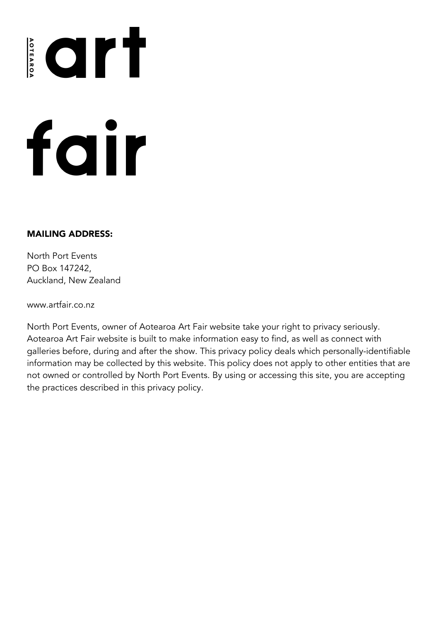# fair

### MAILING ADDRESS:

North Port Events PO Box 147242, Auckland, New Zealand

www.artfair.co.nz

North Port Events, owner of Aotearoa Art Fair website take your right to privacy seriously. Aotearoa Art Fair website is built to make information easy to find, as well as connect with galleries before, during and after the show. This privacy policy deals which personally-identifiable information may be collected by this website. This policy does not apply to other entities that are not owned or controlled by North Port Events. By using or accessing this site, you are accepting the practices described in this privacy policy.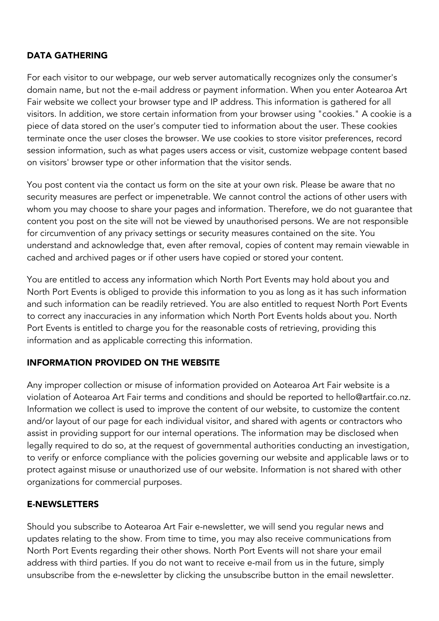# DATA GATHERING

For each visitor to our webpage, our web server automatically recognizes only the consumer's domain name, but not the e-mail address or payment information. When you enter Aotearoa Art Fair website we collect your browser type and IP address. This information is gathered for all visitors. In addition, we store certain information from your browser using "cookies." A cookie is a piece of data stored on the user's computer tied to information about the user. These cookies terminate once the user closes the browser. We use cookies to store visitor preferences, record session information, such as what pages users access or visit, customize webpage content based on visitors' browser type or other information that the visitor sends.

You post content via the contact us form on the site at your own risk. Please be aware that no security measures are perfect or impenetrable. We cannot control the actions of other users with whom you may choose to share your pages and information. Therefore, we do not guarantee that content you post on the site will not be viewed by unauthorised persons. We are not responsible for circumvention of any privacy settings or security measures contained on the site. You understand and acknowledge that, even after removal, copies of content may remain viewable in cached and archived pages or if other users have copied or stored your content.

You are entitled to access any information which North Port Events may hold about you and North Port Events is obliged to provide this information to you as long as it has such information and such information can be readily retrieved. You are also entitled to request North Port Events to correct any inaccuracies in any information which North Port Events holds about you. North Port Events is entitled to charge you for the reasonable costs of retrieving, providing this information and as applicable correcting this information.

# INFORMATION PROVIDED ON THE WEBSITE

Any improper collection or misuse of information provided on Aotearoa Art Fair website is a violation of Aotearoa Art Fair terms and conditions and should be reported to hello@artfair.co.nz. Information we collect is used to improve the content of our website, to customize the content and/or layout of our page for each individual visitor, and shared with agents or contractors who assist in providing support for our internal operations. The information may be disclosed when legally required to do so, at the request of governmental authorities conducting an investigation, to verify or enforce compliance with the policies governing our website and applicable laws or to protect against misuse or unauthorized use of our website. Information is not shared with other organizations for commercial purposes.

# E-NEWSLETTERS

Should you subscribe to Aotearoa Art Fair e-newsletter, we will send you regular news and updates relating to the show. From time to time, you may also receive communications from North Port Events regarding their other shows. North Port Events will not share your email address with third parties. If you do not want to receive e-mail from us in the future, simply unsubscribe from the e-newsletter by clicking the unsubscribe button in the email newsletter.